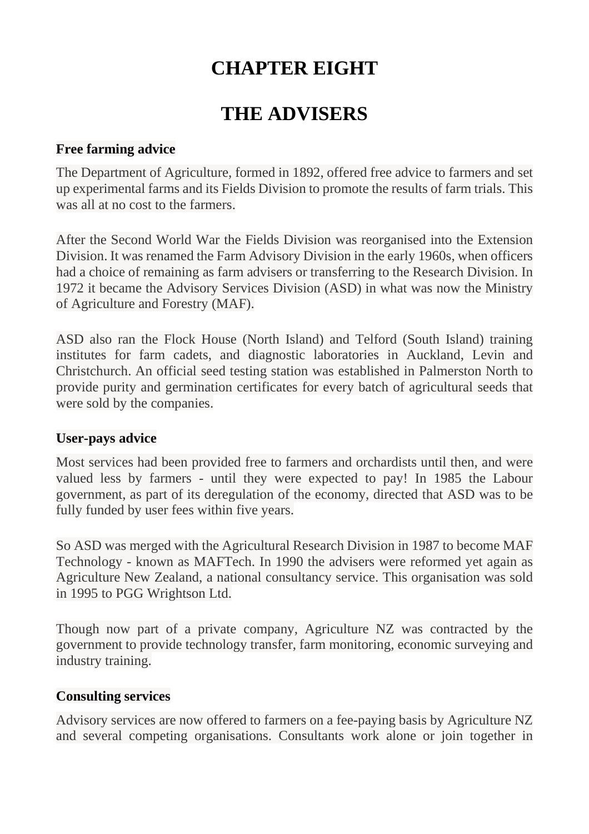# **CHAPTER EIGHT**

# **THE ADVISERS**

#### **Free farming advice**

The Department of Agriculture, formed in 1892, offered free advice to farmers and set up experimental farms and its Fields Division to promote the results of farm trials. This was all at no cost to the farmers.

After the Second World War the Fields Division was reorganised into the Extension Division. It was renamed the Farm Advisory Division in the early 1960s, when officers had a choice of remaining as farm advisers or transferring to the Research Division. In 1972 it became the Advisory Services Division (ASD) in what was now the Ministry of Agriculture and Forestry (MAF).

ASD also ran the Flock House (North Island) and Telford (South Island) training institutes for farm cadets, and diagnostic laboratories in Auckland, Levin and Christchurch. An official seed testing station was established in Palmerston North to provide purity and germination certificates for every batch of agricultural seeds that were sold by the companies.

#### **User-pays advice**

Most services had been provided free to farmers and orchardists until then, and were valued less by farmers - until they were expected to pay! In 1985 the Labour government, as part of its deregulation of the economy, directed that ASD was to be fully funded by user fees within five years.

So ASD was merged with the Agricultural Research Division in 1987 to become MAF Technology - known as MAFTech. In 1990 the advisers were reformed yet again as Agriculture New Zealand, a national consultancy service. This organisation was sold in 1995 to PGG Wrightson Ltd.

Though now part of a private company, Agriculture NZ was contracted by the government to provide technology transfer, farm monitoring, economic surveying and industry training.

## **Consulting services**

Advisory services are now offered to farmers on a fee-paying basis by Agriculture NZ and several competing organisations. Consultants work alone or join together in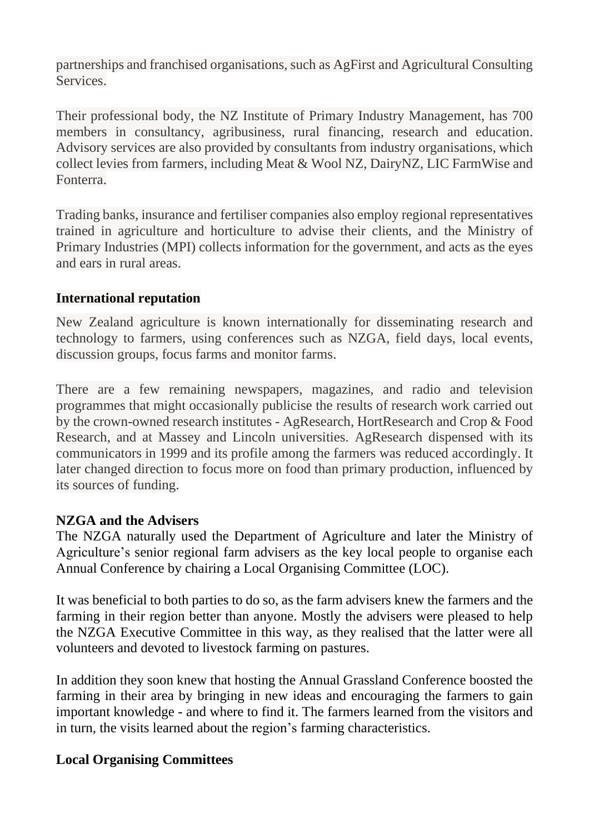partnerships and franchised organisations, such as AgFirst and Agricultural Consulting Services.

Their professional body, the NZ Institute of Primary Industry Management, has 700 members in consultancy, agribusiness, rural financing, research and education. Advisory services are also provided by consultants from industry organisations, which collect levies from farmers, including Meat & Wool NZ, DairyNZ, LIC FarmWise and Fonterra.

Trading banks, insurance and fertiliser companies also employ regional representatives trained in agriculture and horticulture to advise their clients, and the Ministry of Primary Industries (MPI) collects information for the government, and acts as the eyes and ears in rural areas.

## **International reputation**

New Zealand agriculture is known internationally for disseminating research and technology to farmers, using conferences such as NZGA, field days, local events, discussion groups, focus farms and monitor farms.

There are a few remaining newspapers, magazines, and radio and television programmes that might occasionally publicise the results of research work carried out by the crown-owned research institutes - AgResearch, HortResearch and Crop & Food Research, and at Massey and Lincoln universities. AgResearch dispensed with its communicators in 1999 and its profile among the farmers was reduced accordingly. It later changed direction to focus more on food than primary production, influenced by its sources of funding.

## **NZGA and the Advisers**

The NZGA naturally used the Department of Agriculture and later the Ministry of Agriculture's senior regional farm advisers as the key local people to organise each Annual Conference by chairing a Local Organising Committee (LOC).

It was beneficial to both parties to do so, as the farm advisers knew the farmers and the farming in their region better than anyone. Mostly the advisers were pleased to help the NZGA Executive Committee in this way, as they realised that the latter were all volunteers and devoted to livestock farming on pastures.

In addition they soon knew that hosting the Annual Grassland Conference boosted the farming in their area by bringing in new ideas and encouraging the farmers to gain important knowledge - and where to find it. The farmers learned from the visitors and in turn, the visits learned about the region's farming characteristics.

## **Local Organising Committees**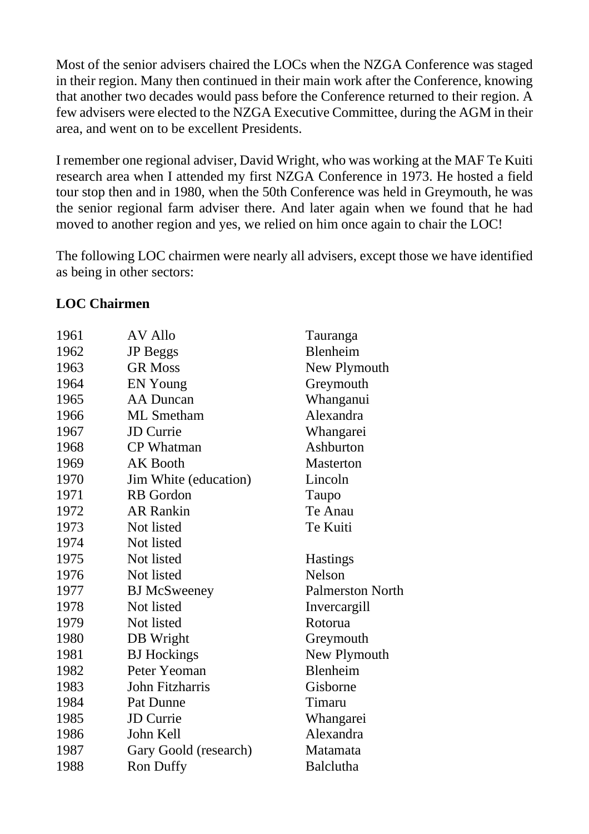Most of the senior advisers chaired the LOCs when the NZGA Conference was staged in their region. Many then continued in their main work after the Conference, knowing that another two decades would pass before the Conference returned to their region. A few advisers were elected to the NZGA Executive Committee, during the AGM in their area, and went on to be excellent Presidents.

I remember one regional adviser, David Wright, who was working at the MAF Te Kuiti research area when I attended my first NZGA Conference in 1973. He hosted a field tour stop then and in 1980, when the 50th Conference was held in Greymouth, he was the senior regional farm adviser there. And later again when we found that he had moved to another region and yes, we relied on him once again to chair the LOC!

The following LOC chairmen were nearly all advisers, except those we have identified as being in other sectors:

## **LOC Chairmen**

| 1961 | <b>AV Allo</b>        | Tauranga                |
|------|-----------------------|-------------------------|
| 1962 | <b>JP</b> Beggs       | Blenheim                |
| 1963 | <b>GR Moss</b>        | New Plymouth            |
| 1964 | <b>EN Young</b>       | Greymouth               |
| 1965 | <b>AA Duncan</b>      | Whanganui               |
| 1966 | <b>ML</b> Smetham     | Alexandra               |
| 1967 | <b>JD</b> Currie      | Whangarei               |
| 1968 | <b>CP</b> Whatman     | Ashburton               |
| 1969 | <b>AK Booth</b>       | <b>Masterton</b>        |
| 1970 | Jim White (education) | Lincoln                 |
| 1971 | <b>RB</b> Gordon      | Taupo                   |
| 1972 | <b>AR Rankin</b>      | Te Anau                 |
| 1973 | Not listed            | Te Kuiti                |
| 1974 | Not listed            |                         |
| 1975 | Not listed            | <b>Hastings</b>         |
| 1976 | Not listed            | Nelson                  |
| 1977 | <b>BJ</b> McSweeney   | <b>Palmerston North</b> |
| 1978 | Not listed            | Invercargill            |
| 1979 | Not listed            | Rotorua                 |
| 1980 | DB Wright             | Greymouth               |
| 1981 | <b>BJ</b> Hockings    | New Plymouth            |
| 1982 | Peter Yeoman          | Blenheim                |
| 1983 | John Fitzharris       | Gisborne                |
| 1984 | Pat Dunne             | Timaru                  |
| 1985 | <b>JD</b> Currie      | Whangarei               |
| 1986 | John Kell             | Alexandra               |
| 1987 | Gary Goold (research) | Matamata                |
| 1988 | <b>Ron Duffy</b>      | <b>Balclutha</b>        |
|      |                       |                         |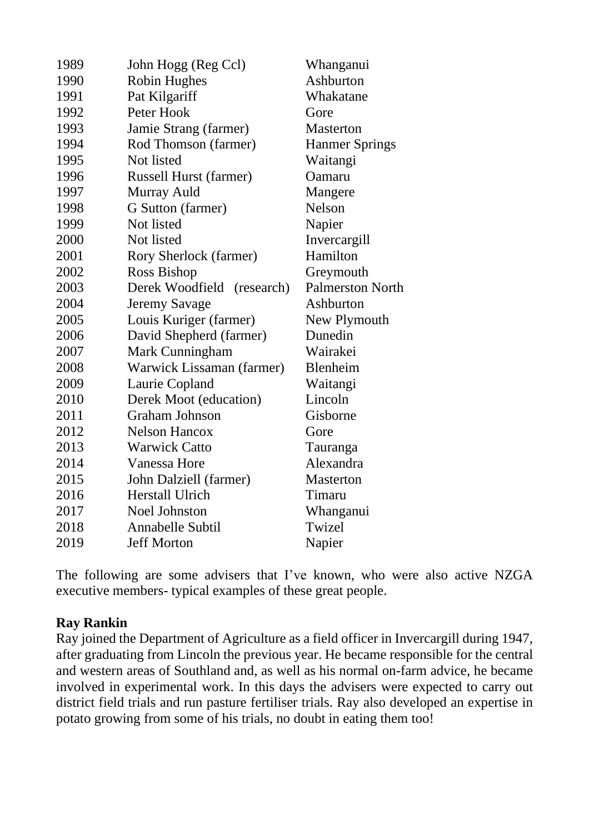| 1989 | John Hogg (Reg Ccl)           | Whanganui               |
|------|-------------------------------|-------------------------|
| 1990 | <b>Robin Hughes</b>           | Ashburton               |
| 1991 | Pat Kilgariff                 | Whakatane               |
| 1992 | Peter Hook                    | Gore                    |
| 1993 | Jamie Strang (farmer)         | <b>Masterton</b>        |
| 1994 | Rod Thomson (farmer)          | <b>Hanmer Springs</b>   |
| 1995 | Not listed                    | Waitangi                |
| 1996 | <b>Russell Hurst (farmer)</b> | Oamaru                  |
| 1997 | Murray Auld                   | Mangere                 |
| 1998 | G Sutton (farmer)             | Nelson                  |
| 1999 | Not listed                    | Napier                  |
| 2000 | Not listed                    | Invercargill            |
| 2001 | Rory Sherlock (farmer)        | Hamilton                |
| 2002 | Ross Bishop                   | Greymouth               |
| 2003 | Derek Woodfield<br>(research) | <b>Palmerston North</b> |
| 2004 | <b>Jeremy Savage</b>          | Ashburton               |
| 2005 | Louis Kuriger (farmer)        | New Plymouth            |
| 2006 | David Shepherd (farmer)       | Dunedin                 |
| 2007 | Mark Cunningham               | Wairakei                |
| 2008 | Warwick Lissaman (farmer)     | Blenheim                |
| 2009 | Laurie Copland                | Waitangi                |
| 2010 | Derek Moot (education)        | Lincoln                 |
| 2011 | Graham Johnson                | Gisborne                |
| 2012 | <b>Nelson Hancox</b>          | Gore                    |
| 2013 | <b>Warwick Catto</b>          | Tauranga                |
| 2014 | Vanessa Hore                  | Alexandra               |
| 2015 | John Dalziell (farmer)        | <b>Masterton</b>        |
| 2016 | <b>Herstall Ulrich</b>        | Timaru                  |
| 2017 | <b>Noel Johnston</b>          | Whanganui               |
| 2018 | Annabelle Subtil              | Twizel                  |
| 2019 | <b>Jeff Morton</b>            | Napier                  |

The following are some advisers that I've known, who were also active NZGA executive members- typical examples of these great people.

## **Ray Rankin**

Ray joined the Department of Agriculture as a field officer in Invercargill during 1947, after graduating from Lincoln the previous year. He became responsible for the central and western areas of Southland and, as well as his normal on-farm advice, he became involved in experimental work. In this days the advisers were expected to carry out district field trials and run pasture fertiliser trials. Ray also developed an expertise in potato growing from some of his trials, no doubt in eating them too!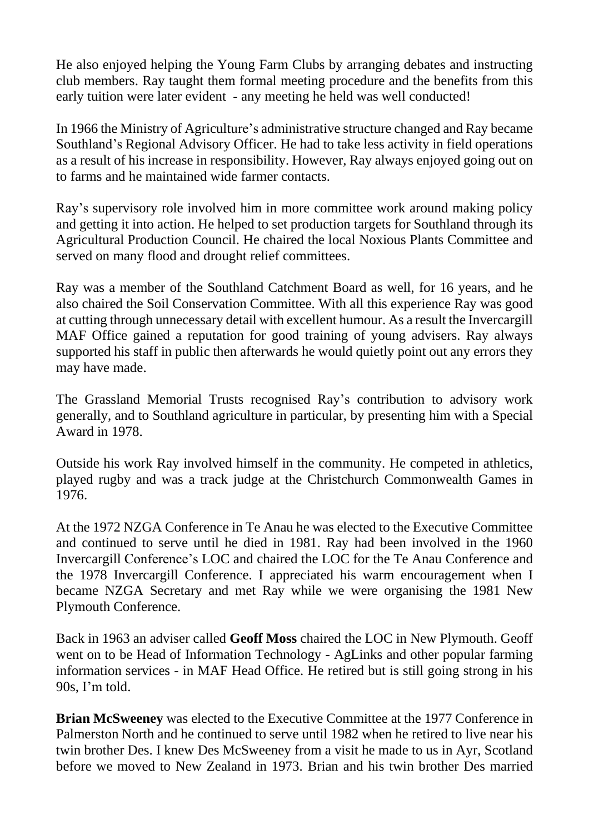He also enjoyed helping the Young Farm Clubs by arranging debates and instructing club members. Ray taught them formal meeting procedure and the benefits from this early tuition were later evident - any meeting he held was well conducted!

In 1966 the Ministry of Agriculture's administrative structure changed and Ray became Southland's Regional Advisory Officer. He had to take less activity in field operations as a result of his increase in responsibility. However, Ray always enjoyed going out on to farms and he maintained wide farmer contacts.

Ray's supervisory role involved him in more committee work around making policy and getting it into action. He helped to set production targets for Southland through its Agricultural Production Council. He chaired the local Noxious Plants Committee and served on many flood and drought relief committees.

Ray was a member of the Southland Catchment Board as well, for 16 years, and he also chaired the Soil Conservation Committee. With all this experience Ray was good at cutting through unnecessary detail with excellent humour. As a result the Invercargill MAF Office gained a reputation for good training of young advisers. Ray always supported his staff in public then afterwards he would quietly point out any errors they may have made.

The Grassland Memorial Trusts recognised Ray's contribution to advisory work generally, and to Southland agriculture in particular, by presenting him with a Special Award in 1978.

Outside his work Ray involved himself in the community. He competed in athletics, played rugby and was a track judge at the Christchurch Commonwealth Games in 1976.

At the 1972 NZGA Conference in Te Anau he was elected to the Executive Committee and continued to serve until he died in 1981. Ray had been involved in the 1960 Invercargill Conference's LOC and chaired the LOC for the Te Anau Conference and the 1978 Invercargill Conference. I appreciated his warm encouragement when I became NZGA Secretary and met Ray while we were organising the 1981 New Plymouth Conference.

Back in 1963 an adviser called **Geoff Moss** chaired the LOC in New Plymouth. Geoff went on to be Head of Information Technology - AgLinks and other popular farming information services - in MAF Head Office. He retired but is still going strong in his 90s, I'm told.

**Brian McSweeney** was elected to the Executive Committee at the 1977 Conference in Palmerston North and he continued to serve until 1982 when he retired to live near his twin brother Des. I knew Des McSweeney from a visit he made to us in Ayr, Scotland before we moved to New Zealand in 1973. Brian and his twin brother Des married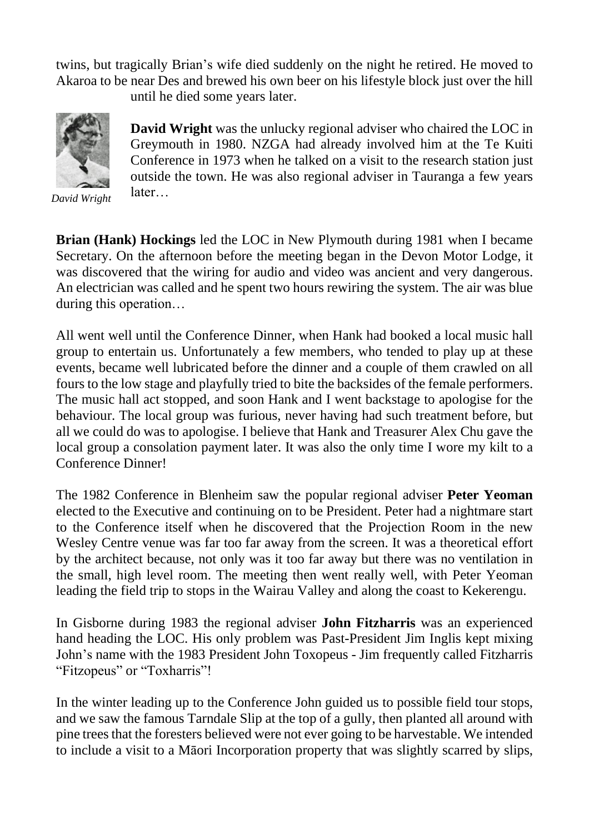twins, but tragically Brian's wife died suddenly on the night he retired. He moved to Akaroa to be near Des and brewed his own beer on his lifestyle block just over the hill until he died some years later.

**David Wright** was the unlucky regional adviser who chaired the LOC in Greymouth in 1980. NZGA had already involved him at the Te Kuiti Conference in 1973 when he talked on a visit to the research station just outside the town. He was also regional adviser in Tauranga a few years later…

*David Wright*

**Brian (Hank) Hockings** led the LOC in New Plymouth during 1981 when I became Secretary. On the afternoon before the meeting began in the Devon Motor Lodge, it was discovered that the wiring for audio and video was ancient and very dangerous. An electrician was called and he spent two hours rewiring the system. The air was blue during this operation…

All went well until the Conference Dinner, when Hank had booked a local music hall group to entertain us. Unfortunately a few members, who tended to play up at these events, became well lubricated before the dinner and a couple of them crawled on all fours to the low stage and playfully tried to bite the backsides of the female performers. The music hall act stopped, and soon Hank and I went backstage to apologise for the behaviour. The local group was furious, never having had such treatment before, but all we could do was to apologise. I believe that Hank and Treasurer Alex Chu gave the local group a consolation payment later. It was also the only time I wore my kilt to a Conference Dinner!

The 1982 Conference in Blenheim saw the popular regional adviser **Peter Yeoman** elected to the Executive and continuing on to be President. Peter had a nightmare start to the Conference itself when he discovered that the Projection Room in the new Wesley Centre venue was far too far away from the screen. It was a theoretical effort by the architect because, not only was it too far away but there was no ventilation in the small, high level room. The meeting then went really well, with Peter Yeoman leading the field trip to stops in the Wairau Valley and along the coast to Kekerengu.

In Gisborne during 1983 the regional adviser **John Fitzharris** was an experienced hand heading the LOC. His only problem was Past-President Jim Inglis kept mixing John's name with the 1983 President John Toxopeus - Jim frequently called Fitzharris "Fitzopeus" or "Toxharris"!

In the winter leading up to the Conference John guided us to possible field tour stops, and we saw the famous Tarndale Slip at the top of a gully, then planted all around with pine trees that the foresters believed were not ever going to be harvestable. We intended to include a visit to a Māori Incorporation property that was slightly scarred by slips,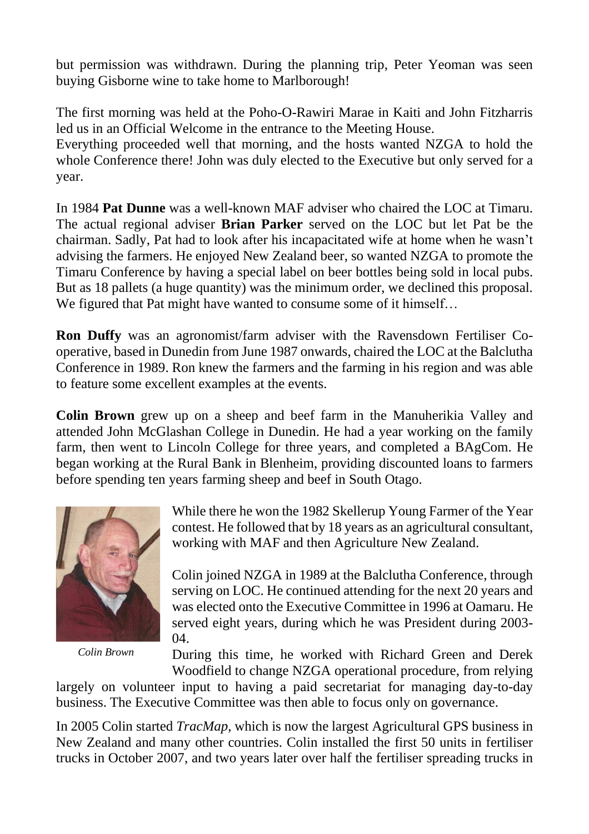but permission was withdrawn. During the planning trip, Peter Yeoman was seen buying Gisborne wine to take home to Marlborough!

The first morning was held at the Poho-O-Rawiri Marae in Kaiti and John Fitzharris led us in an Official Welcome in the entrance to the Meeting House.

Everything proceeded well that morning, and the hosts wanted NZGA to hold the whole Conference there! John was duly elected to the Executive but only served for a year.

In 1984 **Pat Dunne** was a well-known MAF adviser who chaired the LOC at Timaru. The actual regional adviser **Brian Parker** served on the LOC but let Pat be the chairman. Sadly, Pat had to look after his incapacitated wife at home when he wasn't advising the farmers. He enjoyed New Zealand beer, so wanted NZGA to promote the Timaru Conference by having a special label on beer bottles being sold in local pubs. But as 18 pallets (a huge quantity) was the minimum order, we declined this proposal. We figured that Pat might have wanted to consume some of it himself...

**Ron Duffy** was an agronomist/farm adviser with the Ravensdown Fertiliser Cooperative, based in Dunedin from June 1987 onwards, chaired the LOC at the Balclutha Conference in 1989. Ron knew the farmers and the farming in his region and was able to feature some excellent examples at the events.

**Colin Brown** grew up on a sheep and beef farm in the Manuherikia Valley and attended John McGlashan College in Dunedin. He had a year working on the family farm, then went to Lincoln College for three years, and completed a BAgCom. He began working at the Rural Bank in Blenheim, providing discounted loans to farmers before spending ten years farming sheep and beef in South Otago.



*Colin Brown*

While there he won the 1982 Skellerup Young Farmer of the Year contest. He followed that by 18 years as an agricultural consultant, working with MAF and then Agriculture New Zealand.

Colin joined NZGA in 1989 at the Balclutha Conference, through serving on LOC. He continued attending for the next 20 years and was elected onto the Executive Committee in 1996 at Oamaru. He served eight years, during which he was President during 2003- 04.

During this time, he worked with Richard Green and Derek Woodfield to change NZGA operational procedure, from relying

largely on volunteer input to having a paid secretariat for managing day-to-day business. The Executive Committee was then able to focus only on governance.

In 2005 Colin started *TracMap*, which is now the largest Agricultural GPS business in New Zealand and many other countries. Colin installed the first 50 units in fertiliser trucks in October 2007, and two years later over half the fertiliser spreading trucks in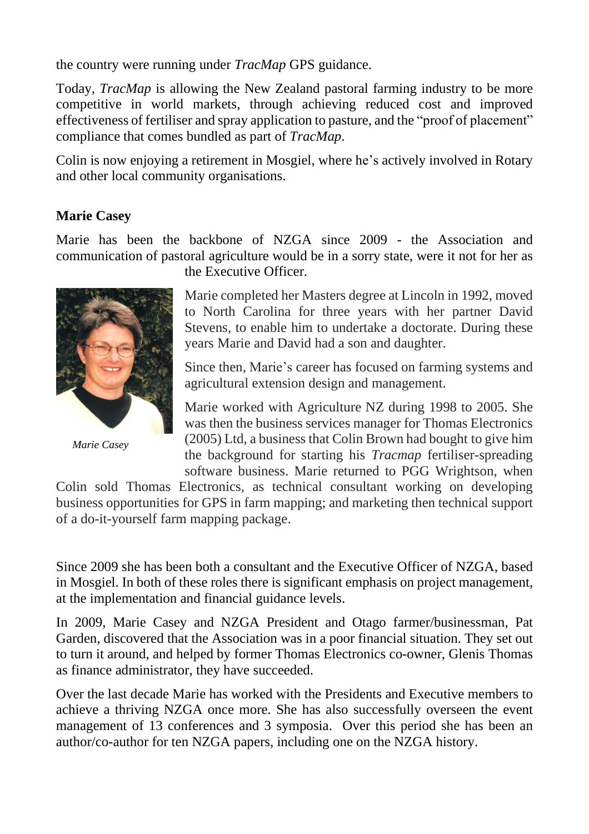the country were running under *TracMap* GPS guidance.

Today, *TracMap* is allowing the New Zealand pastoral farming industry to be more competitive in world markets, through achieving reduced cost and improved effectiveness of fertiliser and spray application to pasture, and the "proof of placement" compliance that comes bundled as part of *TracMap*.

Colin is now enjoying a retirement in Mosgiel, where he's actively involved in Rotary and other local community organisations.

## **Marie Casey**

Marie has been the backbone of NZGA since 2009 - the Association and communication of pastoral agriculture would be in a sorry state, were it not for her as



*Marie Casey*

the Executive Officer.

Marie completed her Masters degree at Lincoln in 1992, moved to North Carolina for three years with her partner David Stevens, to enable him to undertake a doctorate. During these years Marie and David had a son and daughter.

Since then, Marie's career has focused on farming systems and agricultural extension design and management.

Marie worked with Agriculture NZ during 1998 to 2005. She was then the business services manager for Thomas Electronics (2005) Ltd, a business that Colin Brown had bought to give him the background for starting his *Tracmap* fertiliser-spreading software business. Marie returned to PGG Wrightson, when

Colin sold Thomas Electronics, as technical consultant working on developing business opportunities for GPS in farm mapping; and marketing then technical support of a do-it-yourself farm mapping package.

Since 2009 she has been both a consultant and the Executive Officer of NZGA, based in Mosgiel. In both of these roles there is significant emphasis on project management, at the implementation and financial guidance levels.

In 2009, Marie Casey and NZGA President and Otago farmer/businessman, Pat Garden, discovered that the Association was in a poor financial situation. They set out to turn it around, and helped by former Thomas Electronics co-owner, Glenis Thomas as finance administrator, they have succeeded.

Over the last decade Marie has worked with the Presidents and Executive members to achieve a thriving NZGA once more. She has also successfully overseen the event management of 13 conferences and 3 symposia. Over this period she has been an author/co-author for ten NZGA papers, including one on the NZGA history.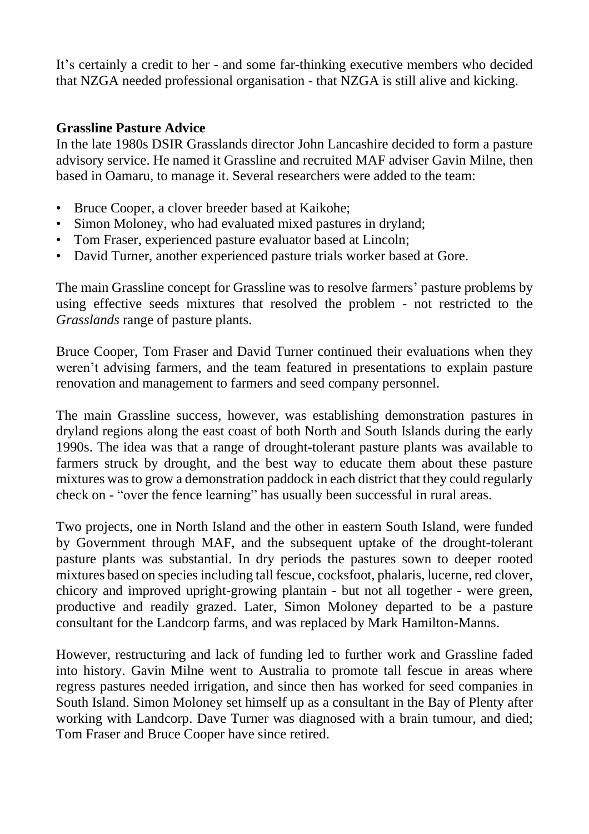It's certainly a credit to her - and some far-thinking executive members who decided that NZGA needed professional organisation - that NZGA is still alive and kicking.

## **Grassline Pasture Advice**

In the late 1980s DSIR Grasslands director John Lancashire decided to form a pasture advisory service. He named it Grassline and recruited MAF adviser Gavin Milne, then based in Oamaru, to manage it. Several researchers were added to the team:

- Bruce Cooper, a clover breeder based at Kaikohe;
- Simon Moloney, who had evaluated mixed pastures in dryland;
- Tom Fraser, experienced pasture evaluator based at Lincoln;
- David Turner, another experienced pasture trials worker based at Gore.

The main Grassline concept for Grassline was to resolve farmers' pasture problems by using effective seeds mixtures that resolved the problem - not restricted to the *Grasslands* range of pasture plants.

Bruce Cooper, Tom Fraser and David Turner continued their evaluations when they weren't advising farmers, and the team featured in presentations to explain pasture renovation and management to farmers and seed company personnel.

The main Grassline success, however, was establishing demonstration pastures in dryland regions along the east coast of both North and South Islands during the early 1990s. The idea was that a range of drought-tolerant pasture plants was available to farmers struck by drought, and the best way to educate them about these pasture mixtures wasto grow a demonstration paddock in each district that they could regularly check on - "over the fence learning" has usually been successful in rural areas.

Two projects, one in North Island and the other in eastern South Island, were funded by Government through MAF, and the subsequent uptake of the drought-tolerant pasture plants was substantial. In dry periods the pastures sown to deeper rooted mixtures based on species including tall fescue, cocksfoot, phalaris, lucerne, red clover, chicory and improved upright-growing plantain - but not all together - were green, productive and readily grazed. Later, Simon Moloney departed to be a pasture consultant for the Landcorp farms, and was replaced by Mark Hamilton-Manns.

However, restructuring and lack of funding led to further work and Grassline faded into history. Gavin Milne went to Australia to promote tall fescue in areas where regress pastures needed irrigation, and since then has worked for seed companies in South Island. Simon Moloney set himself up as a consultant in the Bay of Plenty after working with Landcorp. Dave Turner was diagnosed with a brain tumour, and died; Tom Fraser and Bruce Cooper have since retired.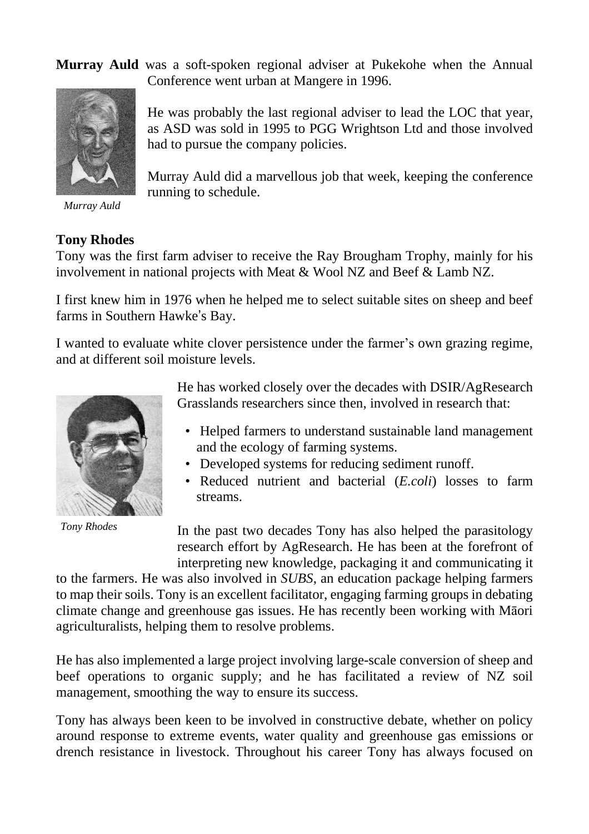**Murray Auld** was a soft-spoken regional adviser at Pukekohe when the Annual Conference went urban at Mangere in 1996.

had to pursue the company policies.

running to schedule.

He was probably the last regional adviser to lead the LOC that year, as ASD was sold in 1995 to PGG Wrightson Ltd and those involved

Murray Auld did a marvellous job that week, keeping the conference



*Murray Auld*

## **Tony Rhodes**

Tony was the first farm adviser to receive the Ray Brougham Trophy, mainly for his involvement in national projects with Meat & Wool NZ and Beef & Lamb NZ.

I first knew him in 1976 when he helped me to select suitable sites on sheep and beef farms in Southern Hawke's Bay.

I wanted to evaluate white clover persistence under the farmer's own grazing regime, and at different soil moisture levels.



*Tony Rhodes*

He has worked closely over the decades with DSIR/AgResearch Grasslands researchers since then, involved in research that:

- Helped farmers to understand sustainable land management and the ecology of farming systems.
- Developed systems for reducing sediment runoff.
- Reduced nutrient and bacterial (*E.coli*) losses to farm streams.

In the past two decades Tony has also helped the parasitology research effort by AgResearch. He has been at the forefront of interpreting new knowledge, packaging it and communicating it

to the farmers. He was also involved in *SUBS*, an education package helping farmers to map their soils. Tony is an excellent facilitator, engaging farming groups in debating climate change and greenhouse gas issues. He has recently been working with Māori agriculturalists, helping them to resolve problems.

He has also implemented a large project involving large-scale conversion of sheep and beef operations to organic supply; and he has facilitated a review of NZ soil management, smoothing the way to ensure its success.

Tony has always been keen to be involved in constructive debate, whether on policy around response to extreme events, water quality and greenhouse gas emissions or drench resistance in livestock. Throughout his career Tony has always focused on